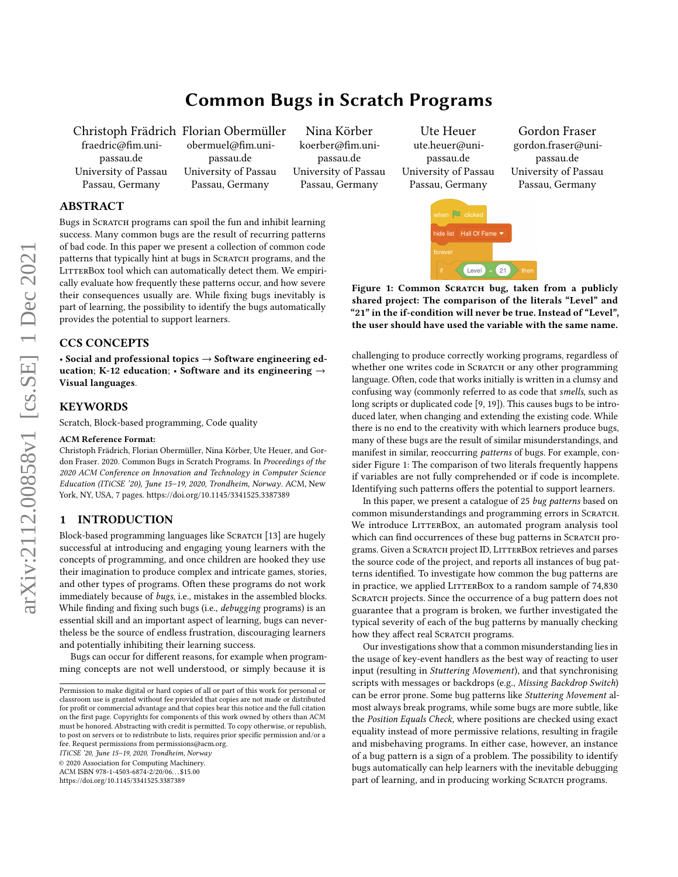# Common Bugs in Scratch Programs

Christoph Frädrich Florian Obermüller fraedric@fim.unipassau.de University of Passau Passau, Germany

obermuel@fim.unipassau.de University of Passau Passau, Germany

Nina Körber koerber@fim.unipassau.de University of Passau Passau, Germany

<span id="page-0-0"></span>Ute Heuer ute.heuer@unipassau.de University of Passau Passau, Germany

 $\mathbb{D}$  click

Gordon Fraser gordon.fraser@unipassau.de University of Passau Passau, Germany

## ABSTRACT

Bugs in SCRATCH programs can spoil the fun and inhibit learning success. Many common bugs are the result of recurring patterns of bad code. In this paper we present a collection of common code patterns that typically hint at bugs in SCRATCH programs, and the LITTERBOX tool which can automatically detect them. We empirically evaluate how frequently these patterns occur, and how severe their consequences usually are. While fixing bugs inevitably is part of learning, the possibility to identify the bugs automatically provides the potential to support learners.

#### CCS CONCEPTS

• Social and professional topics → Software engineering education; K-12 education; • Software and its engineering  $\rightarrow$ Visual languages.

#### **KEYWORDS**

Scratch, Block-based programming, Code quality

#### ACM Reference Format:

Christoph Frädrich, Florian Obermüller, Nina Körber, Ute Heuer, and Gordon Fraser. 2020. Common Bugs in Scratch Programs. In Proceedings of the 2020 ACM Conference on Innovation and Technology in Computer Science Education (ITiCSE '20), June 15–19, 2020, Trondheim, Norway. ACM, New York, NY, USA, [7](#page-6-0) pages.<https://doi.org/10.1145/3341525.3387389>

#### 1 INTRODUCTION

Block-based programming languages like SCRATCH [\[13\]](#page-6-1) are hugely successful at introducing and engaging young learners with the concepts of programming, and once children are hooked they use their imagination to produce complex and intricate games, stories, and other types of programs. Often these programs do not work immediately because of bugs, i.e., mistakes in the assembled blocks. While finding and fixing such bugs (i.e., debugging programs) is an essential skill and an important aspect of learning, bugs can nevertheless be the source of endless frustration, discouraging learners and potentially inhibiting their learning success.

Bugs can occur for different reasons, for example when programming concepts are not well understood, or simply because it is

ITiCSE '20, June 15–19, 2020, Trondheim, Norway

© 2020 Association for Computing Machinery.

ACM ISBN 978-1-4503-6874-2/20/06. . . \$15.00

<https://doi.org/10.1145/3341525.3387389>



Figure 1: Common SCRATCH bug, taken from a publicly shared project: The comparison of the literals "Level" and "21" in the if-condition will never be true. Instead of "Level",

 $\left( 21\right)$  $\overline{\phantom{a}}$  the

Level

In this paper, we present a catalogue of 25 bug patterns based on common misunderstandings and programming errors in SCRATCH. We introduce LITTERBOX, an automated program analysis tool which can find occurrences of these bug patterns in SCRATCH programs. Given a SCRATCH project ID, LITTERBOX retrieves and parses the source code of the project, and reports all instances of bug patterns identified. To investigate how common the bug patterns are in practice, we applied LITTERBOX to a random sample of 74,830 SCRATCH projects. Since the occurrence of a bug pattern does not guarantee that a program is broken, we further investigated the typical severity of each of the bug patterns by manually checking how they affect real SCRATCH programs.

Our investigations show that a common misunderstanding lies in the usage of key-event handlers as the best way of reacting to user input (resulting in Stuttering Movement), and that synchronising scripts with messages or backdrops (e.g., Missing Backdrop Switch) can be error prone. Some bug patterns like Stuttering Movement almost always break programs, while some bugs are more subtle, like the Position Equals Check, where positions are checked using exact equality instead of more permissive relations, resulting in fragile and misbehaving programs. In either case, however, an instance of a bug pattern is a sign of a problem. The possibility to identify bugs automatically can help learners with the inevitable debugging part of learning, and in producing working SCRATCH programs.

Permission to make digital or hard copies of all or part of this work for personal or classroom use is granted without fee provided that copies are not made or distributed for profit or commercial advantage and that copies bear this notice and the full citation on the first page. Copyrights for components of this work owned by others than ACM must be honored. Abstracting with credit is permitted. To copy otherwise, or republish, to post on servers or to redistribute to lists, requires prior specific permission and/or a fee. Request permissions from permissions@acm.org.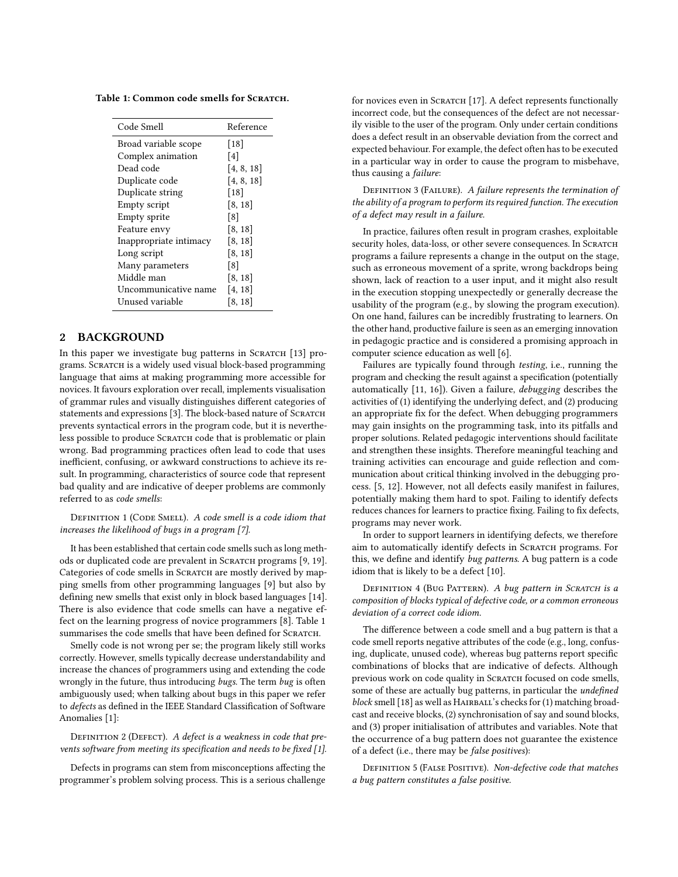<span id="page-1-0"></span>Table 1: Common code smells for SCRATCH.

| Code Smell             | Reference  |  |
|------------------------|------------|--|
| Broad variable scope   | $[18]$     |  |
| Complex animation      | [4]        |  |
| Dead code              | [4, 8, 18] |  |
| Duplicate code         | [4, 8, 18] |  |
| Duplicate string       | [18]       |  |
| Empty script           | [8, 18]    |  |
| Empty sprite           | [8]        |  |
| Feature envy           | [8, 18]    |  |
| Inappropriate intimacy | [8, 18]    |  |
| Long script            | [8, 18]    |  |
| Many parameters        | [8]        |  |
| Middle man             | [8, 18]    |  |
| Uncommunicative name   | [4, 18]    |  |
| Unused variable        | [8, 18]    |  |

#### 2 BACKGROUND

In this paper we investigate bug patterns in SCRATCH [\[13\]](#page-6-1) programs. Scratch is a widely used visual block-based programming language that aims at making programming more accessible for novices. It favours exploration over recall, implements visualisation of grammar rules and visually distinguishes different categories of statements and expressions [\[3\]](#page-6-7). The block-based nature of SCRATCH prevents syntactical errors in the program code, but it is nevertheless possible to produce SCRATCH code that is problematic or plain wrong. Bad programming practices often lead to code that uses inefficient, confusing, or awkward constructions to achieve its result. In programming, characteristics of source code that represent bad quality and are indicative of deeper problems are commonly referred to as code smells:

DEFINITION 1 (CODE SMELL). A code smell is a code idiom that increases the likelihood of bugs in a program [\[7\]](#page-6-8).

It has been established that certain code smells such as long meth-ods or duplicated code are prevalent in SCRATCH programs [\[9,](#page-6-2) [19\]](#page-6-3). Categories of code smells in SCRATCH are mostly derived by mapping smells from other programming languages [\[9\]](#page-6-2) but also by defining new smells that exist only in block based languages [\[14\]](#page-6-9). There is also evidence that code smells can have a negative effect on the learning progress of novice programmers [\[8\]](#page-6-6). Table [1](#page-1-0) summarises the code smells that have been defined for SCRATCH.

Smelly code is not wrong per se; the program likely still works correctly. However, smells typically decrease understandability and increase the chances of programmers using and extending the code wrongly in the future, thus introducing bugs. The term bug is often ambiguously used; when talking about bugs in this paper we refer to defects as defined in the IEEE Standard Classification of Software Anomalies [\[1\]](#page-6-10):

### DEFINITION 2 (DEFECT). A defect is a weakness in code that prevents software from meeting its specification and needs to be fixed [\[1\]](#page-6-10).

Defects in programs can stem from misconceptions affecting the programmer's problem solving process. This is a serious challenge for novices even in SCRATCH [\[17\]](#page-6-11). A defect represents functionally incorrect code, but the consequences of the defect are not necessarily visible to the user of the program. Only under certain conditions does a defect result in an observable deviation from the correct and expected behaviour. For example, the defect often has to be executed in a particular way in order to cause the program to misbehave, thus causing a failure:

<span id="page-1-1"></span>DEFINITION 3 (FAILURE). A failure represents the termination of the ability of a program to perform its required function. The execution of a defect may result in a failure.

In practice, failures often result in program crashes, exploitable security holes, data-loss, or other severe consequences. In SCRATCH programs a failure represents a change in the output on the stage, such as erroneous movement of a sprite, wrong backdrops being shown, lack of reaction to a user input, and it might also result in the execution stopping unexpectedly or generally decrease the usability of the program (e.g., by slowing the program execution). On one hand, failures can be incredibly frustrating to learners. On the other hand, productive failure is seen as an emerging innovation in pedagogic practice and is considered a promising approach in computer science education as well [\[6\]](#page-6-12).

Failures are typically found through testing, i.e., running the program and checking the result against a specification (potentially automatically [\[11,](#page-6-13) [16\]](#page-6-14)). Given a failure, debugging describes the activities of (1) identifying the underlying defect, and (2) producing an appropriate fix for the defect. When debugging programmers may gain insights on the programming task, into its pitfalls and proper solutions. Related pedagogic interventions should facilitate and strengthen these insights. Therefore meaningful teaching and training activities can encourage and guide reflection and communication about critical thinking involved in the debugging process. [\[5,](#page-6-15) [12\]](#page-6-16). However, not all defects easily manifest in failures, potentially making them hard to spot. Failing to identify defects reduces chances for learners to practice fixing. Failing to fix defects, programs may never work.

In order to support learners in identifying defects, we therefore aim to automatically identify defects in SCRATCH programs. For this, we define and identify bug patterns. A bug pattern is a code idiom that is likely to be a defect [\[10\]](#page-6-17).

DEFINITION 4 (BUG PATTERN). A bug pattern in SCRATCH is a composition of blocks typical of defective code, or a common erroneous deviation of a correct code idiom.

The difference between a code smell and a bug pattern is that a code smell reports negative attributes of the code (e.g., long, confusing, duplicate, unused code), whereas bug patterns report specific combinations of blocks that are indicative of defects. Although previous work on code quality in SCRATCH focused on code smells, some of these are actually bug patterns, in particular the *undefined* block smell [\[18\]](#page-6-4) as well as HAIRBALL's checks for (1) matching broadcast and receive blocks, (2) synchronisation of say and sound blocks, and (3) proper initialisation of attributes and variables. Note that the occurrence of a bug pattern does not guarantee the existence of a defect (i.e., there may be false positives):

DEFINITION 5 (FALSE POSITIVE). Non-defective code that matches a bug pattern constitutes a false positive.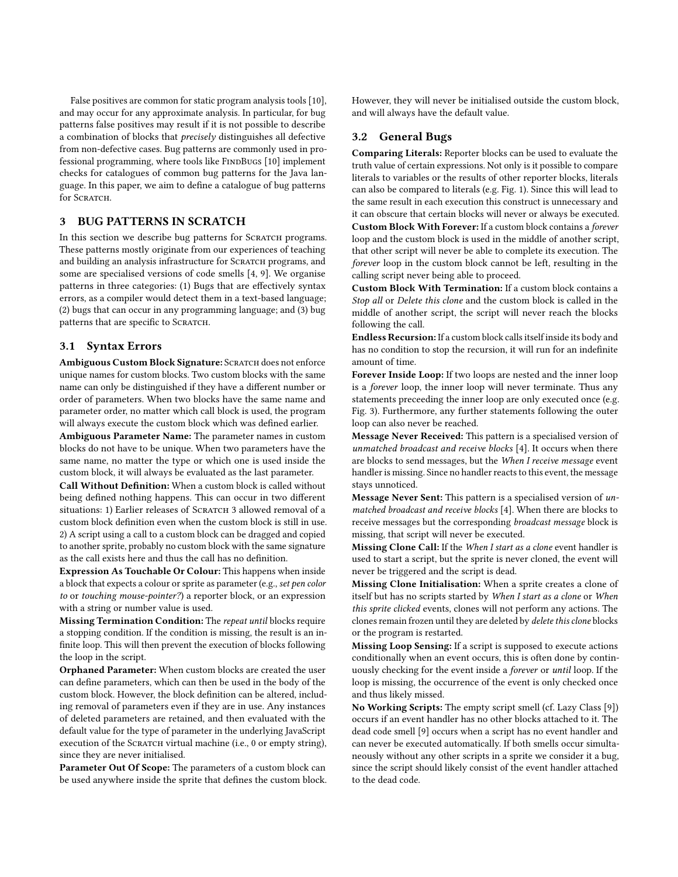False positives are common for static program analysis tools [\[10\]](#page-6-17), and may occur for any approximate analysis. In particular, for bug patterns false positives may result if it is not possible to describe a combination of blocks that precisely distinguishes all defective from non-defective cases. Bug patterns are commonly used in pro-fessional programming, where tools like FINDBUGS [\[10\]](#page-6-17) implement checks for catalogues of common bug patterns for the Java language. In this paper, we aim to define a catalogue of bug patterns for SCRATCH.

#### <span id="page-2-0"></span>3 BUG PATTERNS IN SCRATCH

In this section we describe bug patterns for SCRATCH programs. These patterns mostly originate from our experiences of teaching and building an analysis infrastructure for SCRATCH programs, and some are specialised versions of code smells [\[4,](#page-6-5) [9\]](#page-6-2). We organise patterns in three categories: (1) Bugs that are effectively syntax errors, as a compiler would detect them in a text-based language; (2) bugs that can occur in any programming language; and (3) bug patterns that are specific to SCRATCH.

#### 3.1 Syntax Errors

Ambiguous Custom Block Signature: SCRATCH does not enforce unique names for custom blocks. Two custom blocks with the same name can only be distinguished if they have a different number or order of parameters. When two blocks have the same name and parameter order, no matter which call block is used, the program will always execute the custom block which was defined earlier.

Ambiguous Parameter Name: The parameter names in custom blocks do not have to be unique. When two parameters have the same name, no matter the type or which one is used inside the custom block, it will always be evaluated as the last parameter.

Call Without Definition: When a custom block is called without being defined nothing happens. This can occur in two different situations: 1) Earlier releases of SCRATCH 3 allowed removal of a custom block definition even when the custom block is still in use. 2) A script using a call to a custom block can be dragged and copied to another sprite, probably no custom block with the same signature as the call exists here and thus the call has no definition.

Expression As Touchable Or Colour: This happens when inside a block that expects a colour or sprite as parameter (e.g., set pen color to or touching mouse-pointer?) a reporter block, or an expression with a string or number value is used.

Missing Termination Condition: The repeat until blocks require a stopping condition. If the condition is missing, the result is an infinite loop. This will then prevent the execution of blocks following the loop in the script.

Orphaned Parameter: When custom blocks are created the user can define parameters, which can then be used in the body of the custom block. However, the block definition can be altered, including removal of parameters even if they are in use. Any instances of deleted parameters are retained, and then evaluated with the default value for the type of parameter in the underlying JavaScript execution of the SCRATCH virtual machine (i.e., 0 or empty string), since they are never initialised.

Parameter Out Of Scope: The parameters of a custom block can be used anywhere inside the sprite that defines the custom block. However, they will never be initialised outside the custom block, and will always have the default value.

#### 3.2 General Bugs

Comparing Literals: Reporter blocks can be used to evaluate the truth value of certain expressions. Not only is it possible to compare literals to variables or the results of other reporter blocks, literals can also be compared to literals (e.g. Fig. [1\)](#page-0-0). Since this will lead to the same result in each execution this construct is unnecessary and it can obscure that certain blocks will never or always be executed. Custom Block With Forever: If a custom block contains a forever

loop and the custom block is used in the middle of another script, that other script will never be able to complete its execution. The forever loop in the custom block cannot be left, resulting in the calling script never being able to proceed.

Custom Block With Termination: If a custom block contains a Stop all or Delete this clone and the custom block is called in the middle of another script, the script will never reach the blocks following the call.

Endless Recursion: If a custom block calls itself inside its body and has no condition to stop the recursion, it will run for an indefinite amount of time.

Forever Inside Loop: If two loops are nested and the inner loop is a forever loop, the inner loop will never terminate. Thus any statements preceeding the inner loop are only executed once (e.g. Fig. [3\)](#page-5-0). Furthermore, any further statements following the outer loop can also never be reached.

Message Never Received: This pattern is a specialised version of unmatched broadcast and receive blocks [\[4\]](#page-6-5). It occurs when there are blocks to send messages, but the When I receive message event handler is missing. Since no handler reacts to this event, the message stays unnoticed.

Message Never Sent: This pattern is a specialised version of unmatched broadcast and receive blocks [\[4\]](#page-6-5). When there are blocks to receive messages but the corresponding broadcast message block is missing, that script will never be executed.

Missing Clone Call: If the When I start as a clone event handler is used to start a script, but the sprite is never cloned, the event will never be triggered and the script is dead.

Missing Clone Initialisation: When a sprite creates a clone of itself but has no scripts started by When I start as a clone or When this sprite clicked events, clones will not perform any actions. The clones remain frozen until they are deleted by delete this clone blocks or the program is restarted.

Missing Loop Sensing: If a script is supposed to execute actions conditionally when an event occurs, this is often done by continuously checking for the event inside a forever or until loop. If the loop is missing, the occurrence of the event is only checked once and thus likely missed.

No Working Scripts: The empty script smell (cf. Lazy Class [\[9\]](#page-6-2)) occurs if an event handler has no other blocks attached to it. The dead code smell [\[9\]](#page-6-2) occurs when a script has no event handler and can never be executed automatically. If both smells occur simultaneously without any other scripts in a sprite we consider it a bug, since the script should likely consist of the event handler attached to the dead code.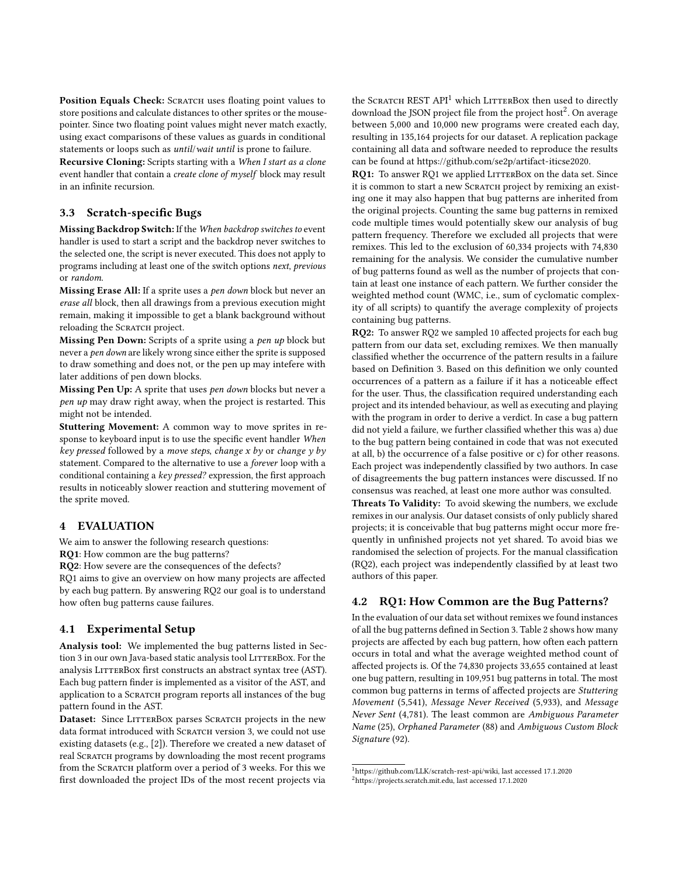Position Equals Check: SCRATCH uses floating point values to store positions and calculate distances to other sprites or the mousepointer. Since two floating point values might never match exactly, using exact comparisons of these values as guards in conditional statements or loops such as until/wait until is prone to failure.

Recursive Cloning: Scripts starting with a When I start as a clone event handler that contain a create clone of myself block may result in an infinite recursion.

#### 3.3 Scratch-specific Bugs

Missing Backdrop Switch: If the When backdrop switches to event handler is used to start a script and the backdrop never switches to the selected one, the script is never executed. This does not apply to programs including at least one of the switch options next, previous or random.

Missing Erase All: If a sprite uses a pen down block but never an erase all block, then all drawings from a previous execution might remain, making it impossible to get a blank background without reloading the SCRATCH project.

Missing Pen Down: Scripts of a sprite using a pen up block but never a pen down are likely wrong since either the sprite is supposed to draw something and does not, or the pen up may intefere with later additions of pen down blocks.

Missing Pen Up: A sprite that uses pen down blocks but never a pen up may draw right away, when the project is restarted. This might not be intended.

Stuttering Movement: A common way to move sprites in response to keyboard input is to use the specific event handler When key pressed followed by a move steps, change  $x$  by or change  $y$  by statement. Compared to the alternative to use a forever loop with a conditional containing a key pressed? expression, the first approach results in noticeably slower reaction and stuttering movement of the sprite moved.

#### 4 EVALUATION

We aim to answer the following research questions:

RQ1: How common are the bug patterns?

RQ2: How severe are the consequences of the defects?

RQ1 aims to give an overview on how many projects are affected by each bug pattern. By answering RQ2 our goal is to understand how often bug patterns cause failures.

#### 4.1 Experimental Setup

Analysis tool: We implemented the bug patterns listed in Sec-tion [3](#page-2-0) in our own Java-based static analysis tool LITTERBOX. For the analysis LITTERBOX first constructs an abstract syntax tree (AST). Each bug pattern finder is implemented as a visitor of the AST, and application to a SCRATCH program reports all instances of the bug pattern found in the AST.

Dataset: Since LITTERBOX parses SCRATCH projects in the new data format introduced with SCRATCH version 3, we could not use existing datasets (e.g., [\[2\]](#page-6-18)). Therefore we created a new dataset of real Scratch programs by downloading the most recent programs from the SCRATCH platform over a period of 3 weeks. For this we first downloaded the project IDs of the most recent projects via

the SCRATCH REST API<sup>[1](#page-3-0)</sup> which LITTERBOX then used to directly download the JSON project file from the project host<sup>[2](#page-3-1)</sup>. On average between 5,000 and 10,000 new programs were created each day, resulting in 135,164 projects for our dataset. A replication package containing all data and software needed to reproduce the results can be found at [https://github.com/se2p/artifact-iticse2020.](https://github.com/se2p/artifact-iticse2020)

RQ1: To answer RQ1 we applied LITTERBOX on the data set. Since it is common to start a new SCRATCH project by remixing an existing one it may also happen that bug patterns are inherited from the original projects. Counting the same bug patterns in remixed code multiple times would potentially skew our analysis of bug pattern frequency. Therefore we excluded all projects that were remixes. This led to the exclusion of 60,334 projects with 74,830 remaining for the analysis. We consider the cumulative number of bug patterns found as well as the number of projects that contain at least one instance of each pattern. We further consider the weighted method count (WMC, i.e., sum of cyclomatic complexity of all scripts) to quantify the average complexity of projects containing bug patterns.

RQ2: To answer RQ2 we sampled 10 affected projects for each bug pattern from our data set, excluding remixes. We then manually classified whether the occurrence of the pattern results in a failure based on Definition [3.](#page-1-1) Based on this definition we only counted occurrences of a pattern as a failure if it has a noticeable effect for the user. Thus, the classification required understanding each project and its intended behaviour, as well as executing and playing with the program in order to derive a verdict. In case a bug pattern did not yield a failure, we further classified whether this was a) due to the bug pattern being contained in code that was not executed at all, b) the occurrence of a false positive or c) for other reasons. Each project was independently classified by two authors. In case of disagreements the bug pattern instances were discussed. If no consensus was reached, at least one more author was consulted.

Threats To Validity: To avoid skewing the numbers, we exclude remixes in our analysis. Our dataset consists of only publicly shared projects; it is conceivable that bug patterns might occur more frequently in unfinished projects not yet shared. To avoid bias we randomised the selection of projects. For the manual classification (RQ2), each project was independently classified by at least two authors of this paper.

#### 4.2 RQ1: How Common are the Bug Patterns?

In the evaluation of our data set without remixes we found instances of all the bug patterns defined in Section [3.](#page-2-0) Table [2](#page-4-0) shows how many projects are affected by each bug pattern, how often each pattern occurs in total and what the average weighted method count of affected projects is. Of the 74,830 projects 33,655 contained at least one bug pattern, resulting in 109,951 bug patterns in total. The most common bug patterns in terms of affected projects are Stuttering Movement (5,541), Message Never Received (5,933), and Message Never Sent (4,781). The least common are Ambiguous Parameter Name (25), Orphaned Parameter (88) and Ambiguous Custom Block Signature (92).

<span id="page-3-1"></span><span id="page-3-0"></span><sup>1</sup>[https://github.com/LLK/scratch-rest-api/wiki,](https://github.com/LLK/scratch-rest-api/wiki) last accessed 17.1.2020 <sup>2</sup>[https://projects.scratch.mit.edu,](https://projects.scratch.mit.edu) last accessed 17.1.2020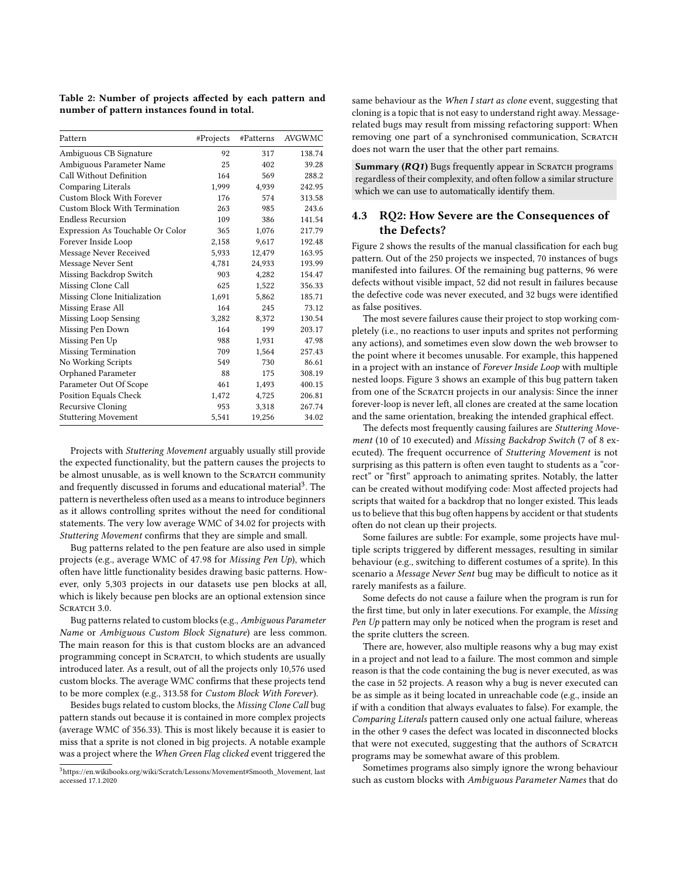<span id="page-4-0"></span>Table 2: Number of projects affected by each pattern and number of pattern instances found in total.

| Pattern                          | #Projects | #Patterns | <b>AVGWMC</b> |
|----------------------------------|-----------|-----------|---------------|
| Ambiguous CB Signature           | 92        | 317       | 138.74        |
| Ambiguous Parameter Name         | 25        | 402       | 39.28         |
| Call Without Definition          | 164       | 569       | 288.2         |
| <b>Comparing Literals</b>        | 1.999     | 4,939     | 242.95        |
| Custom Block With Forever        | 176       | 574       | 313.58        |
| Custom Block With Termination    | 263       | 985       | 243.6         |
| <b>Endless Recursion</b>         | 109       | 386       | 141.54        |
| Expression As Touchable Or Color | 365       | 1,076     | 217.79        |
| Forever Inside Loop              | 2,158     | 9,617     | 192.48        |
| Message Never Received           | 5,933     | 12,479    | 163.95        |
| Message Never Sent               | 4,781     | 24,933    | 193.99        |
| Missing Backdrop Switch          | 903       | 4,282     | 154.47        |
| Missing Clone Call               | 625       | 1,522     | 356.33        |
| Missing Clone Initialization     | 1,691     | 5,862     | 185.71        |
| Missing Erase All                | 164       | 245       | 73.12         |
| Missing Loop Sensing             | 3,282     | 8,372     | 130.54        |
| Missing Pen Down                 | 164       | 199       | 203.17        |
| Missing Pen Up                   | 988       | 1,931     | 47.98         |
| <b>Missing Termination</b>       | 709       | 1,564     | 257.43        |
| No Working Scripts               | 549       | 730       | 86.61         |
| Orphaned Parameter               | 88        | 175       | 308.19        |
| Parameter Out Of Scope           | 461       | 1,493     | 400.15        |
| Position Equals Check            | 1,472     | 4,725     | 206.81        |
| <b>Recursive Cloning</b>         | 953       | 3,318     | 267.74        |
| <b>Stuttering Movement</b>       | 5,541     | 19,256    | 34.02         |

Projects with Stuttering Movement arguably usually still provide the expected functionality, but the pattern causes the projects to be almost unusable, as is well known to the SCRATCH community and frequently discussed in forums and educational material<sup>[3](#page-4-1)</sup>. The pattern is nevertheless often used as a means to introduce beginners as it allows controlling sprites without the need for conditional statements. The very low average WMC of 34.02 for projects with Stuttering Movement confirms that they are simple and small.

Bug patterns related to the pen feature are also used in simple projects (e.g., average WMC of 47.98 for Missing Pen Up), which often have little functionality besides drawing basic patterns. However, only 5,303 projects in our datasets use pen blocks at all, which is likely because pen blocks are an optional extension since SCRATCH 3.0.

Bug patterns related to custom blocks (e.g., Ambiguous Parameter Name or Ambiguous Custom Block Signature) are less common. The main reason for this is that custom blocks are an advanced programming concept in SCRATCH, to which students are usually introduced later. As a result, out of all the projects only 10,576 used custom blocks. The average WMC confirms that these projects tend to be more complex (e.g., 313.58 for Custom Block With Forever).

Besides bugs related to custom blocks, the Missing Clone Call bug pattern stands out because it is contained in more complex projects (average WMC of 356.33). This is most likely because it is easier to miss that a sprite is not cloned in big projects. A notable example was a project where the When Green Flag clicked event triggered the same behaviour as the When I start as clone event, suggesting that cloning is a topic that is not easy to understand right away. Messagerelated bugs may result from missing refactoring support: When removing one part of a synchronised communication, SCRATCH does not warn the user that the other part remains.

**Summary (** $RQ1$ **)** Bugs frequently appear in SCRATCH programs regardless of their complexity, and often follow a similar structure which we can use to automatically identify them.

#### 4.3 RQ2: How Severe are the Consequences of the Defects?

Figure [2](#page-5-1) shows the results of the manual classification for each bug pattern. Out of the 250 projects we inspected, 70 instances of bugs manifested into failures. Of the remaining bug patterns, 96 were defects without visible impact, 52 did not result in failures because the defective code was never executed, and 32 bugs were identified as false positives.

The most severe failures cause their project to stop working completely (i.e., no reactions to user inputs and sprites not performing any actions), and sometimes even slow down the web browser to the point where it becomes unusable. For example, this happened in a project with an instance of Forever Inside Loop with multiple nested loops. Figure [3](#page-5-0) shows an example of this bug pattern taken from one of the SCRATCH projects in our analysis: Since the inner forever-loop is never left, all clones are created at the same location and the same orientation, breaking the intended graphical effect.

The defects most frequently causing failures are Stuttering Movement (10 of 10 executed) and Missing Backdrop Switch (7 of 8 executed). The frequent occurrence of Stuttering Movement is not surprising as this pattern is often even taught to students as a "correct" or "first" approach to animating sprites. Notably, the latter can be created without modifying code: Most affected projects had scripts that waited for a backdrop that no longer existed. This leads us to believe that this bug often happens by accident or that students often do not clean up their projects.

Some failures are subtle: For example, some projects have multiple scripts triggered by different messages, resulting in similar behaviour (e.g., switching to different costumes of a sprite). In this scenario a Message Never Sent bug may be difficult to notice as it rarely manifests as a failure.

Some defects do not cause a failure when the program is run for the first time, but only in later executions. For example, the Missing Pen Up pattern may only be noticed when the program is reset and the sprite clutters the screen.

There are, however, also multiple reasons why a bug may exist in a project and not lead to a failure. The most common and simple reason is that the code containing the bug is never executed, as was the case in 52 projects. A reason why a bug is never executed can be as simple as it being located in unreachable code (e.g., inside an if with a condition that always evaluates to false). For example, the Comparing Literals pattern caused only one actual failure, whereas in the other 9 cases the defect was located in disconnected blocks that were not executed, suggesting that the authors of SCRATCH programs may be somewhat aware of this problem.

Sometimes programs also simply ignore the wrong behaviour such as custom blocks with Ambiguous Parameter Names that do

<span id="page-4-1"></span><sup>3</sup>[https://en.wikibooks.org/wiki/Scratch/Lessons/Movement#Smooth\\_Movement,](https://en.wikibooks.org/wiki/Scratch/Lessons/Movement#Smooth_Movement) last accessed 17.1.2020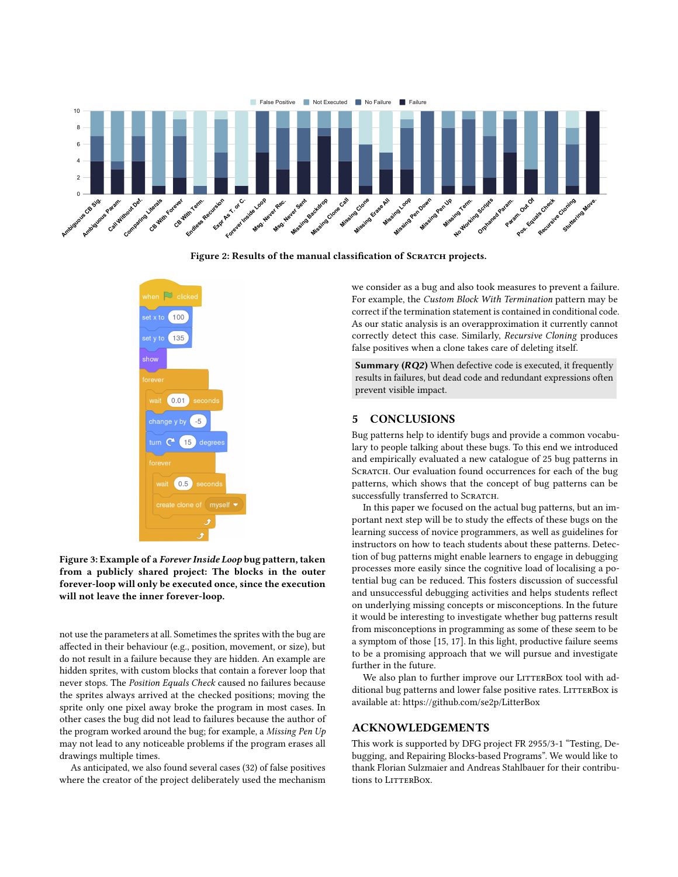<span id="page-5-1"></span>

Figure 2: Results of the manual classification of SCRATCH projects.

<span id="page-5-0"></span>

Figure 3: Example of a Forever Inside Loop bug pattern, taken from a publicly shared project: The blocks in the outer forever-loop will only be executed once, since the execution will not leave the inner forever-loop.

not use the parameters at all. Sometimes the sprites with the bug are affected in their behaviour (e.g., position, movement, or size), but do not result in a failure because they are hidden. An example are hidden sprites, with custom blocks that contain a forever loop that never stops. The Position Equals Check caused no failures because the sprites always arrived at the checked positions; moving the sprite only one pixel away broke the program in most cases. In other cases the bug did not lead to failures because the author of the program worked around the bug; for example, a Missing Pen Up may not lead to any noticeable problems if the program erases all drawings multiple times.

As anticipated, we also found several cases (32) of false positives where the creator of the project deliberately used the mechanism we consider as a bug and also took measures to prevent a failure. For example, the Custom Block With Termination pattern may be correct if the termination statement is contained in conditional code. As our static analysis is an overapproximation it currently cannot correctly detect this case. Similarly, Recursive Cloning produces false positives when a clone takes care of deleting itself.

Summary (RQ2) When defective code is executed, it frequently results in failures, but dead code and redundant expressions often prevent visible impact.

#### 5 CONCLUSIONS

Bug patterns help to identify bugs and provide a common vocabulary to people talking about these bugs. To this end we introduced and empirically evaluated a new catalogue of 25 bug patterns in SCRATCH. Our evaluation found occurrences for each of the bug patterns, which shows that the concept of bug patterns can be successfully transferred to SCRATCH.

In this paper we focused on the actual bug patterns, but an important next step will be to study the effects of these bugs on the learning success of novice programmers, as well as guidelines for instructors on how to teach students about these patterns. Detection of bug patterns might enable learners to engage in debugging processes more easily since the cognitive load of localising a potential bug can be reduced. This fosters discussion of successful and unsuccessful debugging activities and helps students reflect on underlying missing concepts or misconceptions. In the future it would be interesting to investigate whether bug patterns result from misconceptions in programming as some of these seem to be a symptom of those [\[15,](#page-6-19) [17\]](#page-6-11). In this light, productive failure seems to be a promising approach that we will pursue and investigate further in the future.

We also plan to further improve our LITTERBOX tool with additional bug patterns and lower false positive rates. LITTERBOX is available at:<https://github.com/se2p/LitterBox>

#### ACKNOWLEDGEMENTS

This work is supported by DFG project FR 2955/3-1 "Testing, Debugging, and Repairing Blocks-based Programs". We would like to thank Florian Sulzmaier and Andreas Stahlbauer for their contributions to LITTERBOX.